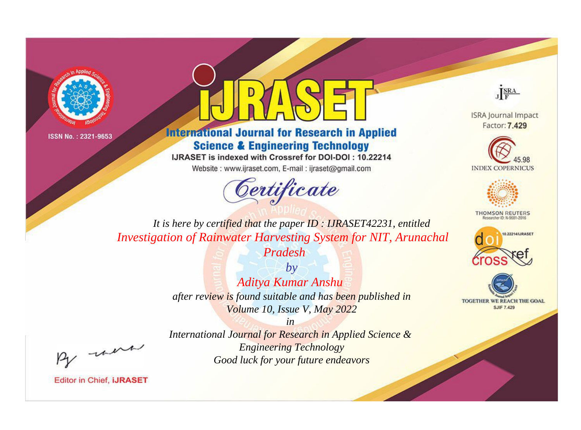



**International Journal for Research in Applied Science & Engineering Technology** 

IJRASET is indexed with Crossref for DOI-DOI: 10.22214

Website: www.ijraset.com, E-mail: ijraset@gmail.com





**ISRA Journal Impact** Factor: 7.429





**THOMSON REUTERS** 



TOGETHER WE REACH THE GOAL **SJIF 7.429** 

*It is here by certified that the paper ID : IJRASET42231, entitled Investigation of Rainwater Harvesting System for NIT, Arunachal* 

*Pradesh*

*by Aditya Kumar Anshu after review is found suitable and has been published in Volume 10, Issue V, May 2022*

, un

*International Journal for Research in Applied Science & Engineering Technology Good luck for your future endeavors*

*in*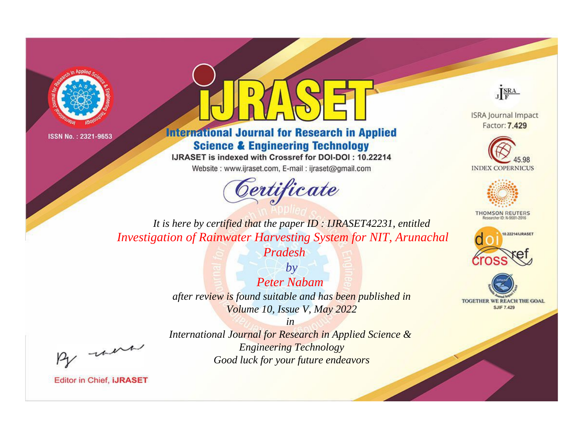



**International Journal for Research in Applied Science & Engineering Technology** 

IJRASET is indexed with Crossref for DOI-DOI: 10.22214

Website: www.ijraset.com, E-mail: ijraset@gmail.com



JERA

**ISRA Journal Impact** Factor: 7.429





**THOMSON REUTERS** 



TOGETHER WE REACH THE GOAL **SJIF 7.429** 

It is here by certified that the paper ID : IJRASET42231, entitled **Investigation of Rainwater Harvesting System for NIT, Arunachal** 

Pradesh

 $b\nu$ **Peter Nabam** after review is found suitable and has been published in Volume 10, Issue V, May 2022

were

International Journal for Research in Applied Science & **Engineering Technology** Good luck for your future endeavors

 $in$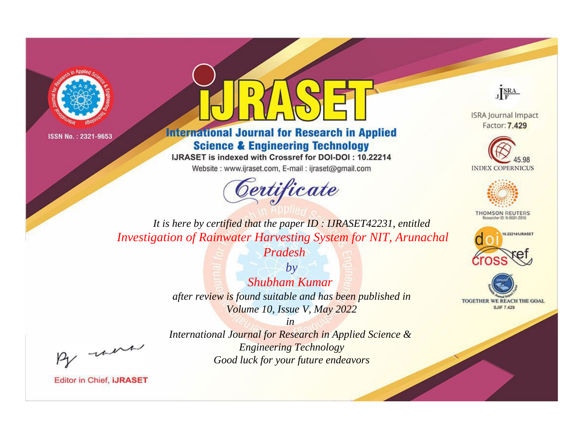



**International Journal for Research in Applied Science & Engineering Technology** 

IJRASET is indexed with Crossref for DOI-DOI: 10.22214

Website: www.ijraset.com, E-mail: ijraset@gmail.com





**ISRA Journal Impact** Factor: 7.429





**THOMSON REUTERS** 



TOGETHER WE REACH THE GOAL **SJIF 7.429** 

*It is here by certified that the paper ID : IJRASET42231, entitled Investigation of Rainwater Harvesting System for NIT, Arunachal* 

*Pradesh*

*by Shubham Kumar after review is found suitable and has been published in Volume 10, Issue V, May 2022*

, un

*International Journal for Research in Applied Science & Engineering Technology Good luck for your future endeavors*

*in*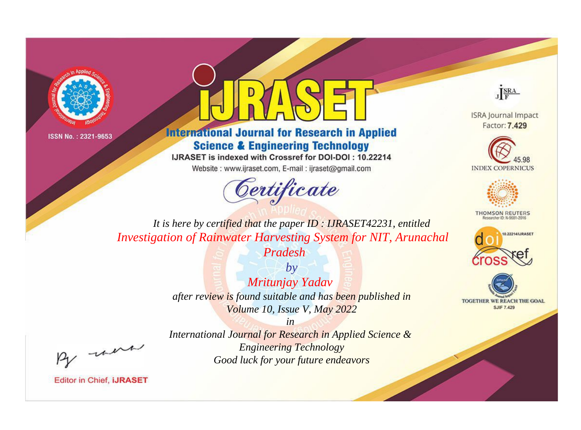



**International Journal for Research in Applied Science & Engineering Technology** 

IJRASET is indexed with Crossref for DOI-DOI: 10.22214

Website: www.ijraset.com, E-mail: ijraset@gmail.com





**ISRA Journal Impact** Factor: 7.429





**THOMSON REUTERS** 



TOGETHER WE REACH THE GOAL **SJIF 7.429** 

*It is here by certified that the paper ID : IJRASET42231, entitled Investigation of Rainwater Harvesting System for NIT, Arunachal* 

*Pradesh*

*by Mritunjay Yadav after review is found suitable and has been published in Volume 10, Issue V, May 2022*

, un

*International Journal for Research in Applied Science & Engineering Technology Good luck for your future endeavors*

*in*